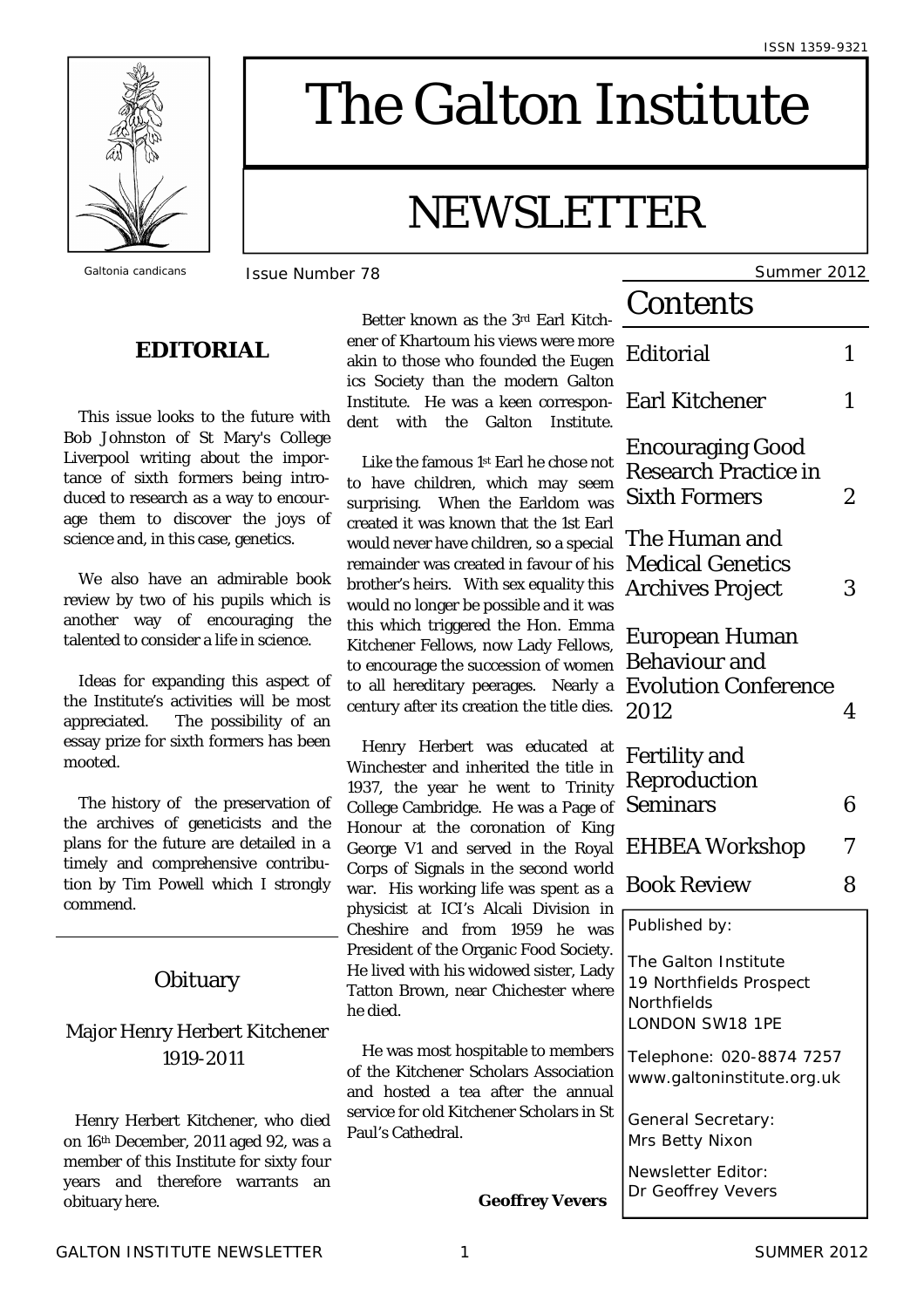

# The Galton Institute

## NEWSLETTER

### **EDITORIAL**

 This issue looks to the future with Bob Johnston of St Mary's College Liverpool writing about the importance of sixth formers being introduced to research as a way to encourage them to discover the joys of science and, in this case, genetics.

We also have an admirable book review by two of his pupils which is another way of encouraging the talented to consider a life in science.

 Ideas for expanding this aspect of the Institute's activities will be most appreciated. The possibility of an essay prize for sixth formers has been mooted.

 The history of the preservation of the archives of geneticists and the plans for the future are detailed in a timely and comprehensive contribution by Tim Powell which I strongly commend.

#### **Obituary**

#### Major Henry Herbert Kitchener 1919-2011

Henry Herbert Kitchener, who died on 16th December, 2011 aged 92, was a member of this Institute for sixty four years and therefore warrants an obituary here.

 Better known as the 3rd Earl Kitchener of Khartoum his views were more akin to those who founded the Euge ics Society than the modern Galto Institute. He was a keen correspondent with the Galton Institute

Like the famous  $1st$  Earl he chose no to have children, which may seer surprising. When the Earldom was created it was known that the 1st Earl would never have children, so a special remainder was created in favour of his brother's heirs. With sex equality the would no longer be possible and it was this which triggered the Hon. Emm Kitchener Fellows, now Lady Fellows to encourage the succession of wome to all hereditary peerages. Nearly century after its creation the title dies

Henry Herbert was educated a Winchester and inherited the title in 1937, the year he went to Trinit College Cambridge. He was a Page of Honour at the coronation of King George V1 and served in the Roya Corps of Signals in the second world war. His working life was spent as physicist at ICI's Alcali Division in Cheshire and from 1959 he wa President of the Organic Food Society He lived with his widowed sister, Lad Tatton Brown, near Chichester where he died.

He was most hospitable to member of the Kitchener Scholars Association and hosted a tea after the annual service for old Kitchener Scholars in St Paul's Cathedral.

**Geoffrey Vevers**

*Galtonia candicans* Issue Number 78 Summer 2012

| ገ-                                          | Contents                                                                                 |   |
|---------------------------------------------|------------------------------------------------------------------------------------------|---|
| ٥e<br>۱'n                                   | Editorial                                                                                | 1 |
| 'n<br>ገ-<br>e.                              | <b>Earl Kitchener</b>                                                                    | 1 |
| วt<br>η<br>ЭS<br>rl<br>al<br>is<br>is<br>3S | Encouraging Good<br>Research Practice in<br><b>Sixth Formers</b>                         | 2 |
|                                             | The Human and<br><b>Medical Genetics</b><br>Archives Project                             | 3 |
| ١a<br>s,<br>'n<br>a<br>S.                   | European Human<br>Behaviour and<br><b>Evolution Conference</b><br>2012                   | 4 |
| at<br>'n<br>ty<br>ວf                        | Fertility and<br>Reproduction<br>Seminars                                                | 6 |
| ıg<br>al                                    | <b>EHBEA Workshop</b>                                                                    | 7 |
| ld<br>a                                     | <b>Book Review</b>                                                                       | 8 |
| in<br>3S                                    | Published by:                                                                            |   |
| y.<br>łу<br>e                               | The Galton Institute<br>19 Northfields Prospect<br>Northfields<br><b>LONDON SW18 1PE</b> |   |
| rs<br>n<br>al                               | Telephone: 020-8874 7257<br>www.galtoninstitute.org.uk                                   |   |
| St                                          | General Secretary:<br>Mrs Betty Nixon                                                    |   |
|                                             | Newsletter Editor:<br>Dr Geoffrey Vevers                                                 |   |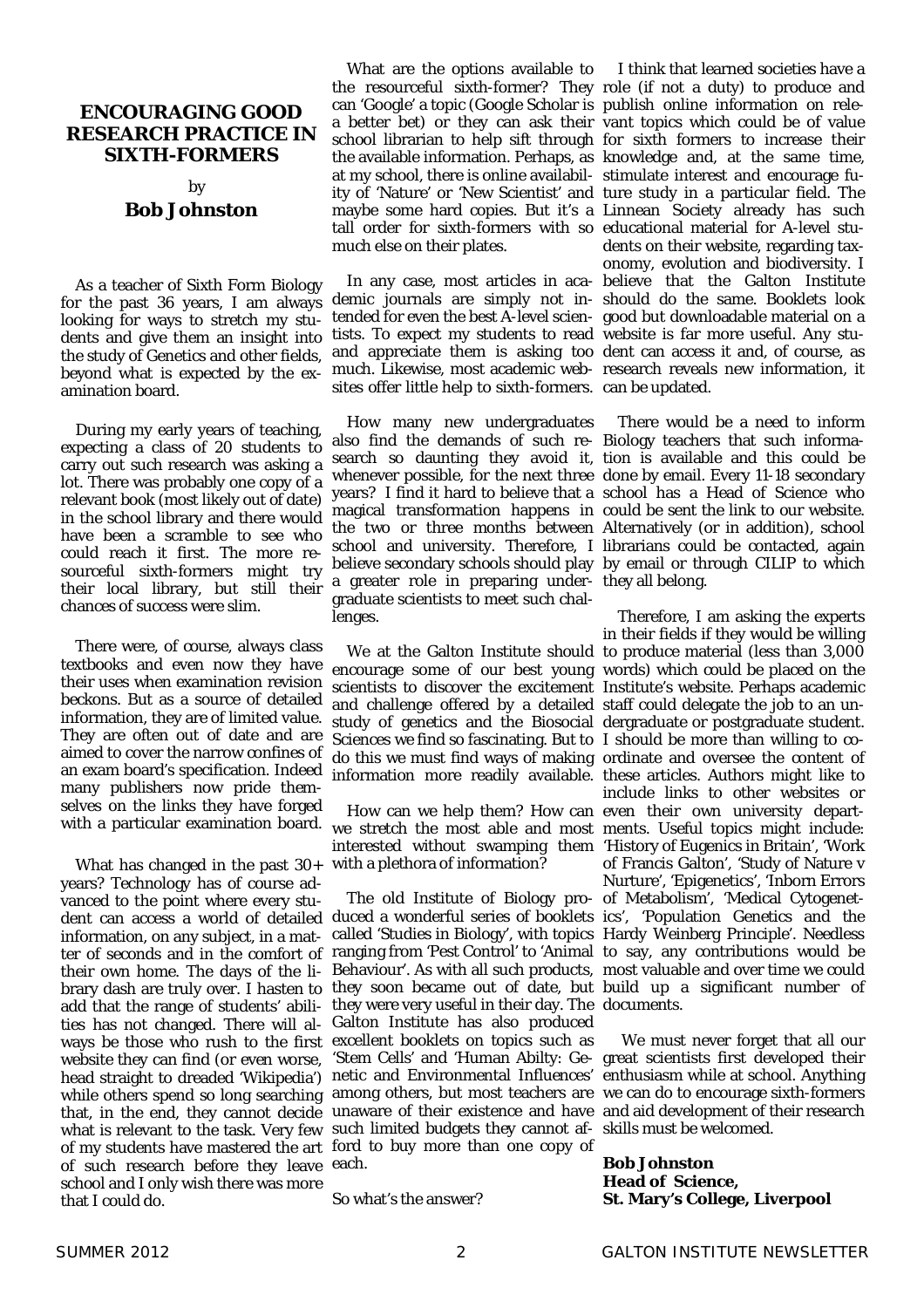#### **ENCOURAGING GOOD RESEARCH PRACTICE IN SIXTH-FORMERS**

#### by **Bob Johnston**

 As a teacher of Sixth Form Biology for the past 36 years, I am always looking for ways to stretch my students and give them an insight into the study of Genetics and other fields, beyond what is expected by the examination board.

 During my early years of teaching, expecting a class of 20 students to carry out such research was asking a lot. There was probably one copy of a relevant book (most likely out of date) in the school library and there would have been a scramble to see who could reach it first. The more resourceful sixth-formers might try their local library, but still their chances of success were slim.

 There were, of course, always class textbooks and even now they have their uses when examination revision beckons. But as a source of detailed information, they are of limited value. They are often out of date and are aimed to cover the narrow confines of an exam board's specification. Indeed many publishers now pride themselves on the links they have forged

What has changed in the past  $30+$  with a plethora of information? years? Technology has of course advanced to the point where every student can access a world of detailed duced a wonderful series of booklets ics', 'Population Genetics and the information, on any subject, in a matter of seconds and in the comfort of their own home. The days of the library dash are truly over. I hasten to they soon became out of date, but build up a significant number of add that the range of students' abili- they were very useful in their day. The documents. ties has not changed. There will always be those who rush to the first excellent booklets on topics such as website they can find (or even worse, head straight to dreaded 'Wikipedia') netic and Environmental Influences' enthusiasm while at school. Anything while others spend so long searching among others, but most teachers are we can do to encourage sixth-formers that, in the end, they cannot decide unaware of their existence and have and aid development of their research what is relevant to the task. Very few such limited budgets they cannot af- skills must be welcomed. of my students have mastered the art ford to buy more than one copy of of such research before they leave each. school and I only wish there was more that I could do.

What are the options available to I think that learned societies have a the resourceful sixth-former? They role (if not a duty) to produce and can 'Google' a topic (Google Scholar is publish online information on relea better bet) or they can ask their vant topics which could be of value school librarian to help sift through for sixth formers to increase their the available information. Perhaps, as knowledge and, at the same time, at my school, there is online availabil-stimulate interest and encourage fuity of 'Nature' or 'New Scientist' and ture study in a particular field. The maybe some hard copies. But it's a Linnean Society already has such tall order for sixth-formers with so educational material for A-level stumuch else on their plates.

 In any case, most articles in aca-believe that the Galton Institute demic journals are simply not in-should do the same. Booklets look tended for even the best A-level scien-good but downloadable material on a tists. To expect my students to read website is far more useful. Any stuand appreciate them is asking too dent can access it and, of course, as much. Likewise, most academic web-research reveals new information, it sites offer little help to sixth-formers. can be updated.

 How many new undergraduates also find the demands of such re-Biology teachers that such informasearch so daunting they avoid it, tion is available and this could be whenever possible, for the next three done by email. Every 11-18 secondary years? I find it hard to believe that a school has a Head of Science who magical transformation happens in could be sent the link to our website. the two or three months between Alternatively (or in addition), school school and university. Therefore, I librarians could be contacted, again believe secondary schools should play by email or through CILIP to which a greater role in preparing under-they all belong. graduate scientists to meet such challenges.

 We at the Galton Institute should to produce material (less than 3,000 encourage some of our best young words) which could be placed on the scientists to discover the excitement Institute's website. Perhaps academic and challenge offered by a detailed staff could delegate the job to an unstudy of genetics and the Biosocial dergraduate or postgraduate student. Sciences we find so fascinating. But to I should be more than willing to codo this we must find ways of making ordinate and oversee the content of information more readily available. these articles. Authors might like to

with a particular examination board. we stretch the most able and most ments. Useful topics might include: How can we help them? How can even their own university departinterested without swamping them 'History of Eugenics in Britain', 'Work

> The old Institute of Biology pro-of Metabolism', 'Medical Cytogenetcalled 'Studies in Biology', with topics Hardy Weinberg Principle'. Needless ranging from 'Pest Control' to 'Animal to say, any contributions would be Behaviour'. As with all such products, most valuable and over time we could Galton Institute has also produced 'Stem Cells' and 'Human Abilty: Ge-great scientists first developed their

So what's the answer?

dents on their website, regarding taxonomy, evolution and biodiversity. I

There would be a need to inform

 Therefore, I am asking the experts in their fields if they would be willing include links to other websites or of Francis Galton', 'Study of Nature v Nurture', 'Epigenetics', 'Inborn Errors

We must never forget that all our

**Bob Johnston Head of Science, St. Mary's College, Liverpool**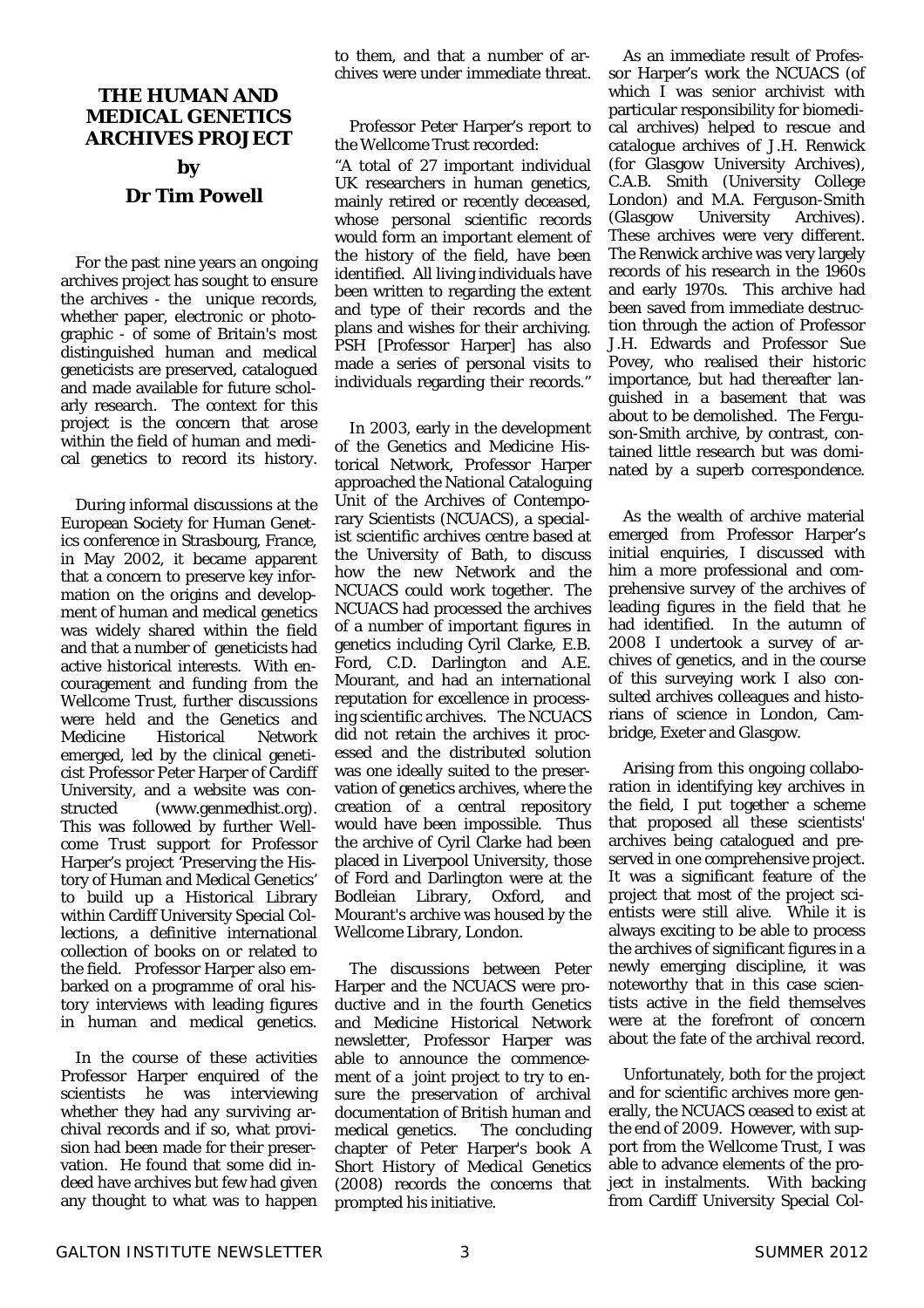#### **THE HUMAN AND MEDICAL GENETICS ARCHIVES PROJECT**

#### **by Dr Tim Powell**

 For the past nine years an ongoing archives project has sought to ensure the archives - the unique records, whether paper, electronic or photographic - of some of Britain's most distinguished human and medical geneticists are preserved, catalogued and made available for future scholarly research. The context for this project is the concern that arose within the field of human and medical genetics to record its history.

 During informal discussions at the European Society for Human Genetics conference in Strasbourg, France, in May 2002, it became apparent that a concern to preserve key information on the origins and development of human and medical genetics was widely shared within the field and that a number of geneticists had active historical interests. With encouragement and funding from the Wellcome Trust, further discussions were held and the Genetics and Medicine Historical Network emerged, led by the clinical geneticist Professor Peter Harper of Cardiff University, and a website was constructed (www.genmedhist.org). This was followed by further Wellcome Trust support for Professor Harper's project 'Preserving the History of Human and Medical Genetics' to build up a Historical Library within Cardiff University Special Collections, a definitive international collection of books on or related to the field. Professor Harper also embarked on a programme of oral history interviews with leading figures in human and medical genetics.

 In the course of these activities Professor Harper enquired of the scientists he was interviewing whether they had any surviving archival records and if so, what provision had been made for their preservation. He found that some did indeed have archives but few had given any thought to what was to happen to them, and that a number of archives were under immediate threat.

 Professor Peter Harper's report to the Wellcome Trust recorded:

"A total of 27 important individual UK researchers in human genetics, mainly retired or recently deceased, whose personal scientific records would form an important element of the history of the field, have been identified. All living individuals have been written to regarding the extent and type of their records and the plans and wishes for their archiving. PSH [Professor Harper] has also made a series of personal visits to individuals regarding their records."

 In 2003, early in the development of the Genetics and Medicine Historical Network, Professor Harper approached the National Cataloguing Unit of the Archives of Contemporary Scientists (NCUACS), a specialist scientific archives centre based at the University of Bath, to discuss how the new Network and the NCUACS could work together. The NCUACS had processed the archives of a number of important figures in genetics including Cyril Clarke, E.B. Ford, C.D. Darlington and A.E. Mourant, and had an international reputation for excellence in processing scientific archives. The NCUACS did not retain the archives it processed and the distributed solution was one ideally suited to the preservation of genetics archives, where the creation of a central repository would have been impossible. Thus the archive of Cyril Clarke had been placed in Liverpool University, those of Ford and Darlington were at the Bodleian Library, Oxford, and Mourant's archive was housed by the Wellcome Library, London.

 The discussions between Peter Harper and the NCUACS were productive and in the fourth Genetics and Medicine Historical Network newsletter, Professor Harper was able to announce the commencement of a joint project to try to ensure the preservation of archival documentation of British human and<br>medical genetics. The concluding medical genetics. chapter of Peter Harper's book *A Short History of Medical Genetics* (2008) records the concerns that prompted his initiative.

 As an immediate result of Professor Harper's work the NCUACS (of which I was senior archivist with particular responsibility for biomedical archives) helped to rescue and catalogue archives of J.H. Renwick (for Glasgow University Archives), C.A.B. Smith (University College London) and M.A. Ferguson-Smith (Glasgow University Archives). These archives were very different. The Renwick archive was very largely records of his research in the 1960s and early 1970s. This archive had been saved from immediate destruction through the action of Professor J.H. Edwards and Professor Sue Povey, who realised their historic importance, but had thereafter languished in a basement that was about to be demolished. The Ferguson-Smith archive, by contrast, contained little research but was dominated by a superb correspondence.

 As the wealth of archive material emerged from Professor Harper's initial enquiries, I discussed with him a more professional and comprehensive survey of the archives of leading figures in the field that he had identified. In the autumn of 2008 I undertook a survey of archives of genetics, and in the course of this surveying work I also consulted archives colleagues and historians of science in London, Cambridge, Exeter and Glasgow.

 Arising from this ongoing collaboration in identifying key archives in the field, I put together a scheme that proposed all these scientists' archives being catalogued and preserved in one comprehensive project. It was a significant feature of the project that most of the project scientists were still alive. While it is always exciting to be able to process the archives of significant figures in a newly emerging discipline, it was noteworthy that in this case scientists active in the field themselves were at the forefront of concern about the fate of the archival record.

 Unfortunately, both for the project and for scientific archives more generally, the NCUACS ceased to exist at the end of 2009. However, with support from the Wellcome Trust, I was able to advance elements of the project in instalments. With backing from Cardiff University Special Col-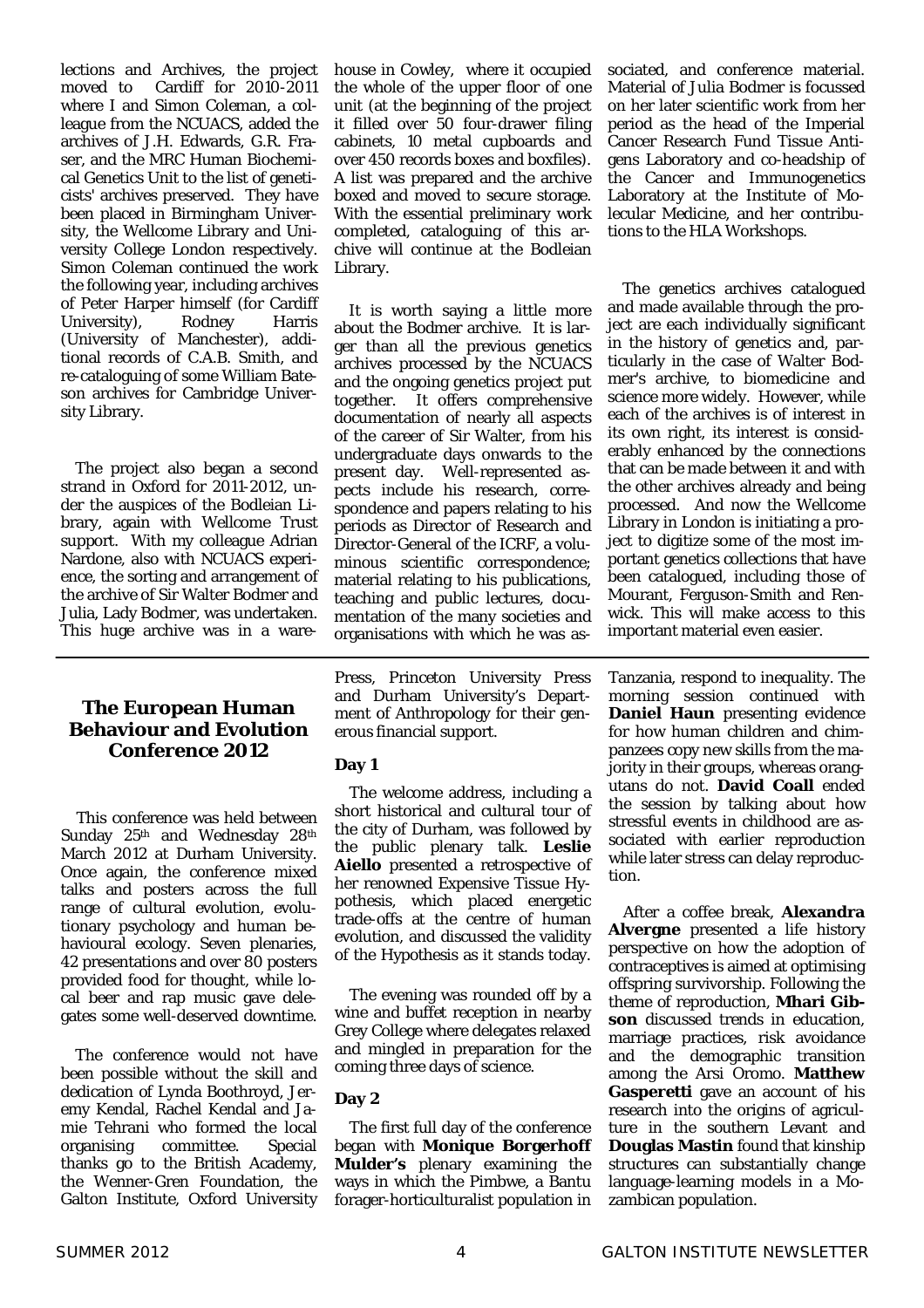lections and Archives, the project moved to Cardiff for 2010-2011 where I and Simon Coleman, a colleague from the NCUACS, added the archives of J.H. Edwards, G.R. Fraser, and the MRC Human Biochemical Genetics Unit to the list of geneticists' archives preserved. They have been placed in Birmingham University, the Wellcome Library and University College London respectively. Simon Coleman continued the work the following year, including archives of Peter Harper himself (for Cardiff University), Rodney Harris (University of Manchester), additional records of C.A.B. Smith, and re-cataloguing of some William Bateson archives for Cambridge University Library.

 The project also began a second strand in Oxford for 2011-2012, under the auspices of the Bodleian Library, again with Wellcome Trust support. With my colleague Adrian Nardone, also with NCUACS experience, the sorting and arrangement of the archive of Sir Walter Bodmer and Julia, Lady Bodmer, was undertaken. This huge archive was in a ware-

#### **The European Human Behaviour and Evolution Conference 2012**

This conference was held between Sunday 25<sup>th</sup> and Wednesday 28<sup>th</sup> March 2012 at Durham University. Once again, the conference mixed talks and posters across the full range of cultural evolution, evolutionary psychology and human behavioural ecology. Seven plenaries, 42 presentations and over 80 posters provided food for thought, while local beer and rap music gave delegates some well-deserved downtime.

 The conference would not have been possible without the skill and dedication of Lynda Boothroyd, Jeremy Kendal, Rachel Kendal and Jamie Tehrani who formed the local organising committee. Special thanks go to the British Academy, the Wenner-Gren Foundation, the Galton Institute, Oxford University house in Cowley, where it occupied the whole of the upper floor of one unit (at the beginning of the project it filled over 50 four-drawer filing cabinets, 10 metal cupboards and over 450 records boxes and boxfiles). A list was prepared and the archive boxed and moved to secure storage. With the essential preliminary work completed, cataloguing of this archive will continue at the Bodleian Library.

 It is worth saying a little more about the Bodmer archive. It is larger than all the previous genetics archives processed by the NCUACS and the ongoing genetics project put together. It offers comprehensive documentation of nearly all aspects of the career of Sir Walter, from his undergraduate days onwards to the present day. Well-represented aspects include his research, correspondence and papers relating to his periods as Director of Research and Director-General of the ICRF, a voluminous scientific correspondence; material relating to his publications, teaching and public lectures, documentation of the many societies and organisations with which he was as-

Press, Princeton University Press and Durham University's Department of Anthropology for their generous financial support.

#### **Day 1**

 The welcome address, including a short historical and cultural tour of the city of Durham, was followed by the public plenary talk. **Leslie Aiello** presented a retrospective of her renowned Expensive Tissue Hypothesis, which placed energetic trade-offs at the centre of human evolution, and discussed the validity of the Hypothesis as it stands today.

 The evening was rounded off by a wine and buffet reception in nearby Grey College where delegates relaxed and mingled in preparation for the coming three days of science.

#### **Day 2**

 The first full day of the conference began with **Monique Borgerhoff Mulder's** plenary examining the ways in which the Pimbwe, a Bantu forager-horticulturalist population in sociated, and conference material. Material of Julia Bodmer is focussed on her later scientific work from her period as the head of the Imperial Cancer Research Fund Tissue Antigens Laboratory and co-headship of the Cancer and Immunogenetics Laboratory at the Institute of Molecular Medicine, and her contributions to the HLA Workshops.

 The genetics archives catalogued and made available through the project are each individually significant in the history of genetics and, particularly in the case of Walter Bodmer's archive, to biomedicine and science more widely. However, while each of the archives is of interest in its own right, its interest is considerably enhanced by the connections that can be made between it and with the other archives already and being processed. And now the Wellcome Library in London is initiating a project to digitize some of the most important genetics collections that have been catalogued, including those of Mourant, Ferguson-Smith and Renwick. This will make access to this important material even easier.

Tanzania, respond to inequality. The morning session continued with **Daniel Haun** presenting evidence for how human children and chimpanzees copy new skills from the majority in their groups, whereas orangutans do not. **David Coall** ended the session by talking about how stressful events in childhood are associated with earlier reproduction while later stress can delay reproduction.

 After a coffee break, **Alexandra Alvergne** presented a life history perspective on how the adoption of contraceptives is aimed at optimising offspring survivorship. Following the theme of reproduction, **Mhari Gibson** discussed trends in education, marriage practices, risk avoidance and the demographic transition among the Arsi Oromo. **Matthew Gasperetti** gave an account of his research into the origins of agriculture in the southern Levant and **Douglas Mastin** found that kinship structures can substantially change language-learning models in a Mozambican population.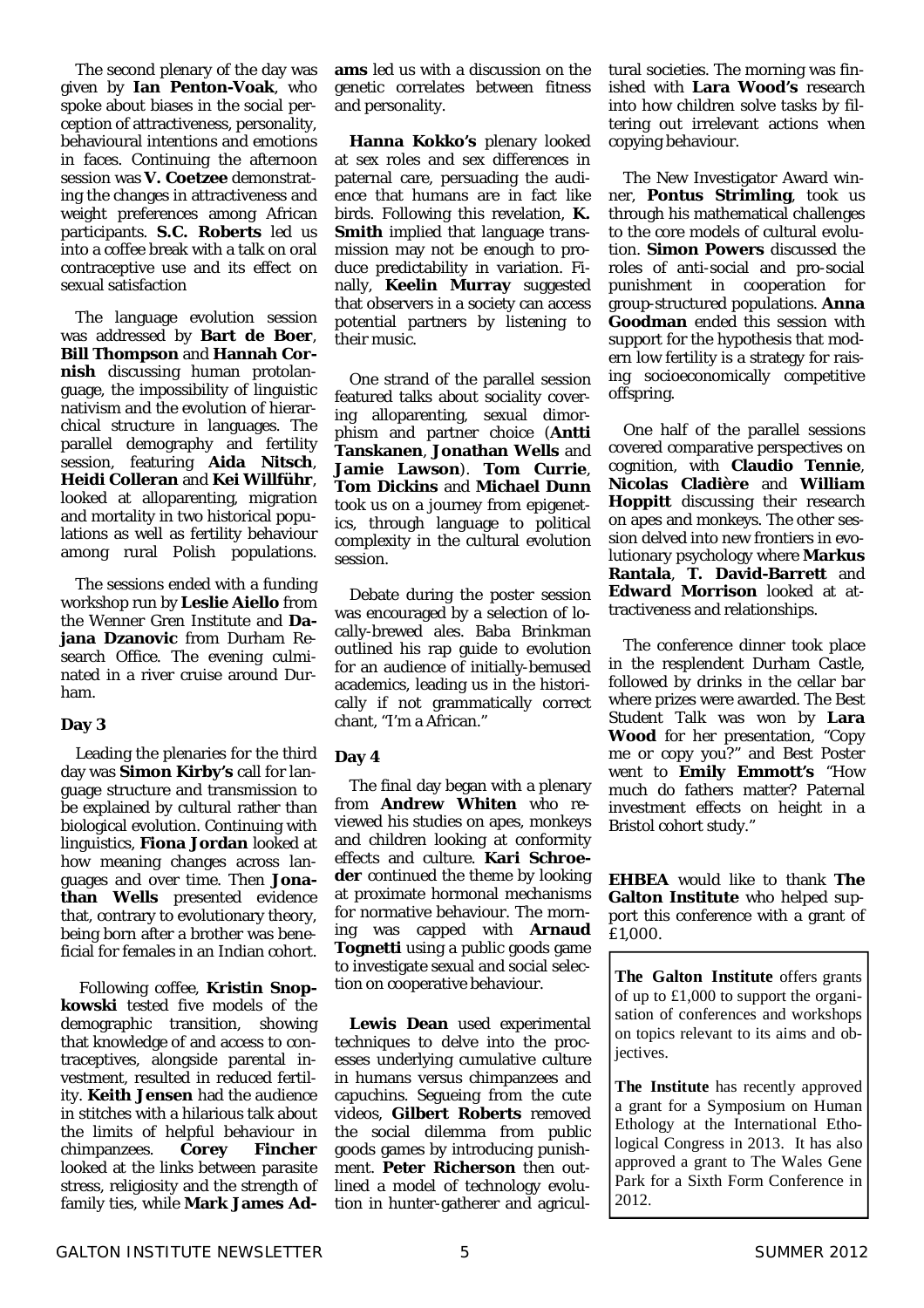The second plenary of the day was given by **Ian Penton-Voak**, who spoke about biases in the social perception of attractiveness, personality, behavioural intentions and emotions in faces. Continuing the afternoon session was **V. Coetzee** demonstrating the changes in attractiveness and weight preferences among African participants. **S.C. Roberts** led us into a coffee break with a talk on oral contraceptive use and its effect on sexual satisfaction

 The language evolution session was addressed by **Bart de Boer**, **Bill Thompson** and **Hannah Cornish** discussing human protolanguage, the impossibility of linguistic nativism and the evolution of hierarchical structure in languages. The parallel demography and fertility session, featuring **Aida Nitsch**, **Heidi Colleran** and **Kei Willführ**, looked at alloparenting, migration and mortality in two historical populations as well as fertility behaviour among rural Polish populations.

 The sessions ended with a funding workshop run by **Leslie Aiello** from the Wenner Gren Institute and **Dajana Dzanovic** from Durham Research Office. The evening culminated in a river cruise around Durham.

#### **Day 3**

 Leading the plenaries for the third day was **Simon Kirby's** call for language structure and transmission to be explained by cultural rather than biological evolution. Continuing with linguistics, **Fiona Jordan** looked at how meaning changes across languages and over time. Then **Jonathan Wells** presented evidence that, contrary to evolutionary theory, being born after a brother was beneficial for females in an Indian cohort.

 Following coffee, **Kristin Snopkowski** tested five models of the demographic transition, showing that knowledge of and access to contraceptives, alongside parental investment, resulted in reduced fertility. **Keith Jensen** had the audience in stitches with a hilarious talk about the limits of helpful behaviour in chimpanzees. **Corey Fincher** looked at the links between parasite stress, religiosity and the strength of family ties, while **Mark James Ad-** **ams** led us with a discussion on the genetic correlates between fitness and personality.

 **Hanna Kokko's** plenary looked at sex roles and sex differences in paternal care, persuading the audience that humans are in fact like birds. Following this revelation, **K. Smith** implied that language transmission may not be enough to produce predictability in variation. Finally, **Keelin Murray** suggested that observers in a society can access potential partners by listening to their music.

 One strand of the parallel session featured talks about sociality covering alloparenting, sexual dimorphism and partner choice (**Antti Tanskanen**, **Jonathan Wells** and **Jamie Lawson**). **Tom Currie**, **Tom Dickins** and **Michael Dunn** took us on a journey from epigenetics, through language to political complexity in the cultural evolution session.

 Debate during the poster session was encouraged by a selection of locally-brewed ales. Baba Brinkman outlined his rap guide to evolution for an audience of initially-bemused academics, leading us in the historically if not grammatically correct chant, "I'm a African."

#### **Day 4**

 The final day began with a plenary from **Andrew Whiten** who reviewed his studies on apes, monkeys and children looking at conformity effects and culture. **Kari Schroeder** continued the theme by looking at proximate hormonal mechanisms for normative behaviour. The morning was capped with **Arnaud Tognetti** using a public goods game to investigate sexual and social selection on cooperative behaviour.

 **Lewis Dean** used experimental techniques to delve into the processes underlying cumulative culture in humans versus chimpanzees and capuchins. Segueing from the cute videos, **Gilbert Roberts** removed the social dilemma from public goods games by introducing punishment. **Peter Richerson** then outlined a model of technology evolution in hunter-gatherer and agricultural societies. The morning was finished with **Lara Wood's** research into how children solve tasks by filtering out irrelevant actions when copying behaviour.

 The New Investigator Award winner, **Pontus Strimling**, took us through his mathematical challenges to the core models of cultural evolution. **Simon Powers** discussed the roles of anti-social and pro-social punishment in cooperation for group-structured populations. **Anna Goodman** ended this session with support for the hypothesis that modern low fertility is a strategy for raising socioeconomically competitive offspring.

 One half of the parallel sessions covered comparative perspectives on cognition, with **Claudio Tennie**, **Nicolas Cladière** and **William Hoppitt** discussing their research on apes and monkeys. The other session delved into new frontiers in evolutionary psychology where **Markus Rantala**, **T. David-Barrett** and **Edward Morrison** looked at attractiveness and relationships.

 The conference dinner took place in the resplendent Durham Castle, followed by drinks in the cellar bar where prizes were awarded. The Best Student Talk was won by **Lara Wood** for her presentation, "Copy me or copy you?" and Best Poster went to **Emily Emmott's** "How much do fathers matter? Paternal investment effects on height in a Bristol cohort study."

**EHBEA** would like to thank **The Galton Institute** who helped support this conference with a grant of £1,000.

**The Galton Institute** offers grants of up to £1,000 to support the organisation of conferences and workshops on topics relevant to its aims and objectives.

**The Institute** has recently approved a grant for a Symposium on Human Ethology at the International Ethological Congress in 2013. It has also approved a grant to The Wales Gene Park for a Sixth Form Conference in 2012.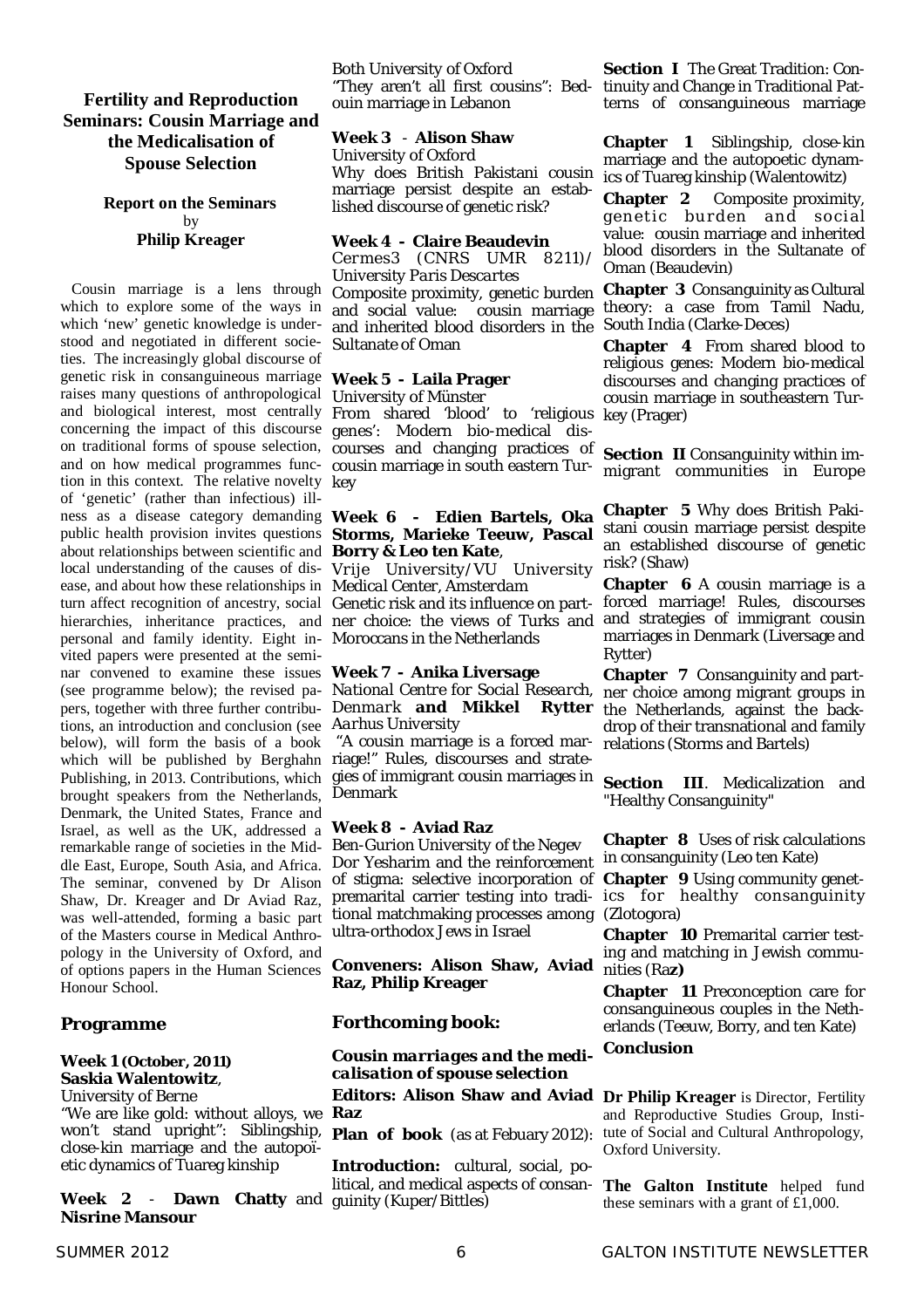#### **Fertility and Reproduction Seminars: Cousin Marriage and the Medicalisation of Spouse Selection**

#### **Report on the Seminars** by **Philip Kreager**

Cousin marriage is a lens through which to explore some of the ways in which 'new' genetic knowledge is understood and negotiated in different societies. The increasingly global discourse of genetic risk in consanguineous marriage **Week 5 - Laila Prager** raises many questions of anthropological concerning the impact of this discourse genes': Modern bio-medical disand on how medical programmes func-cousin marriage in south eastern Turtion in this context. The relative novelty key of 'genetic' (rather than infectious) illness as a disease category demanding **Week 6 - Edien Bartels, Oka**  public health provision invites questions **Storms, Marieke Teeuw, Pascal**  about relationships between scientific and **Borry & Leo ten Kate**, local understanding of the causes of dis-*Vrije University/VU University*  risk? (Shaw) ease, and about how these relationships in *Medical Center, Amsterdam* turn affect recognition of ancestry, social Genetic risk and its influence on partpersonal and family identity. Eight in-Moroccans in the Netherlands vited papers were presented at the seminar convened to examine these issues **Week 7 - Anika Liversage** (see programme below); the revised pa-*National Centre for Social Research,*  pers, together with three further contribu-*Denmark* **and Mikkel Rytter** tions, an introduction and conclusion (see *Aarhus University* below), will form the basis of a book which will be published by Berghahn riage!" Rules, discourses and strate-Publishing, in 2013. Contributions, which brought speakers from the Netherlands, Denmark Denmark, the United States, France and Israel, as well as the UK, addressed a remarkable range of societies in the Middle East, Europe, South Asia, and Africa. The seminar, convened by Dr Alison Shaw, Dr. Kreager and Dr Aviad Raz, was well-attended, forming a basic part of the Masters course in Medical Anthropology in the University of Oxford, and of options papers in the Human Sciences Honour School.

#### **Programme**

#### **Week 1 (October, 2011) Saskia Walentowitz**,

*University of Berne*

"We are like gold: without alloys, we won't stand upright": Siblingship, close-kin marriage and the autopoïetic dynamics of Tuareg kinship

**Week 2** - **Dawn Chatty** and **Nisrine Mansour** 

#### Both *University of Oxford*

"They aren't all first cousins": Bedouin marriage in Lebanon

#### **Week 3** - **Alison Shaw**

*University of Oxford* Why does British Pakistani cousin marriage persist despite an established discourse of genetic risk?

#### **Week 4 - Claire Beaudevin**

*Cermes3 (CNRS UMR 8211)/ University Paris Descartes*

Composite proximity, genetic burden and social value: cousin marriage and inherited blood disorders in the Sultanate of Oman

### *University of Münster*

and biological interest, most centrally From shared 'blood' to 'religious on traditional forms of spouse selection, courses and changing practices of

 "A cousin marriage is a forced margies of immigrant cousin marriages in

#### **Week 8 - Aviad Raz**

*Ben-Gurion University of the Negev* Dor Yesharim and the reinforcement of stigma: selective incorporation of premarital carrier testing into tradi-ics for healthy consanguinity tional matchmaking processes among (Zlotogora) ultra-orthodox Jews in Israel

**Conveners: Alison Shaw, Aviad Raz, Philip Kreager**

#### **Forthcoming book:**

#### *Cousin marriages and the medicalisation of spouse selection* **Editors: Alison Shaw and Aviad Dr Philip Kreager** is Director, Fertility **Raz**

**Plan of book** (as at Febuary 2012):

**Introduction:** cultural, social, political, and medical aspects of consanguinity (Kuper/Bittles)

**Section I** The Great Tradition: Continuity and Change in Traditional Patterns of consanguineous marriage

**Chapter 1** Siblingship, close-kin marriage and the autopoetic dynamics of Tuareg kinship (Walentowitz)

**Chapter 2** Composite proximity, genetic burden and social value: cousin marriage and inherited blood disorders in the Sultanate of Oman (Beaudevin)

**Chapter 3** Consanguinity as Cultural theory: a case from Tamil Nadu, South India (Clarke-Deces)

**Chapter 4** From shared blood to religious genes: Modern bio-medical discourses and changing practices of cousin marriage in southeastern Turkey (Prager)

**Section II** Consanguinity within immigrant communities in Europe

**Chapter 5** Why does British Pakistani cousin marriage persist despite an established discourse of genetic

hierarchies, inheritance practices, and ner choice: the views of Turks and and strategies of immigrant cousin **Chapter 6** A cousin marriage is a forced marriage! Rules, discourses marriages in Denmark (Liversage and Rytter)

> **Chapter 7** Consanguinity and partner choice among migrant groups in the Netherlands, against the backdrop of their transnational and family relations (Storms and Bartels)

> **Section III**. Medicalization and "Healthy Consanguinity"

> **Chapter 8** Uses of risk calculations in consanguinity (Leo ten Kate)

> **Chapter 9** Using community genet-

**Chapter 10** Premarital carrier testing and matching in Jewish communities (Ra**z)**

**Chapter 11** Preconception care for consanguineous couples in the Netherlands (Teeuw, Borry, and ten Kate)

#### **Conclusion**

and Reproductive Studies Group, Institute of Social and Cultural Anthropology, Oxford University.

**The Galton Institute** helped fund these seminars with a grant of £1,000.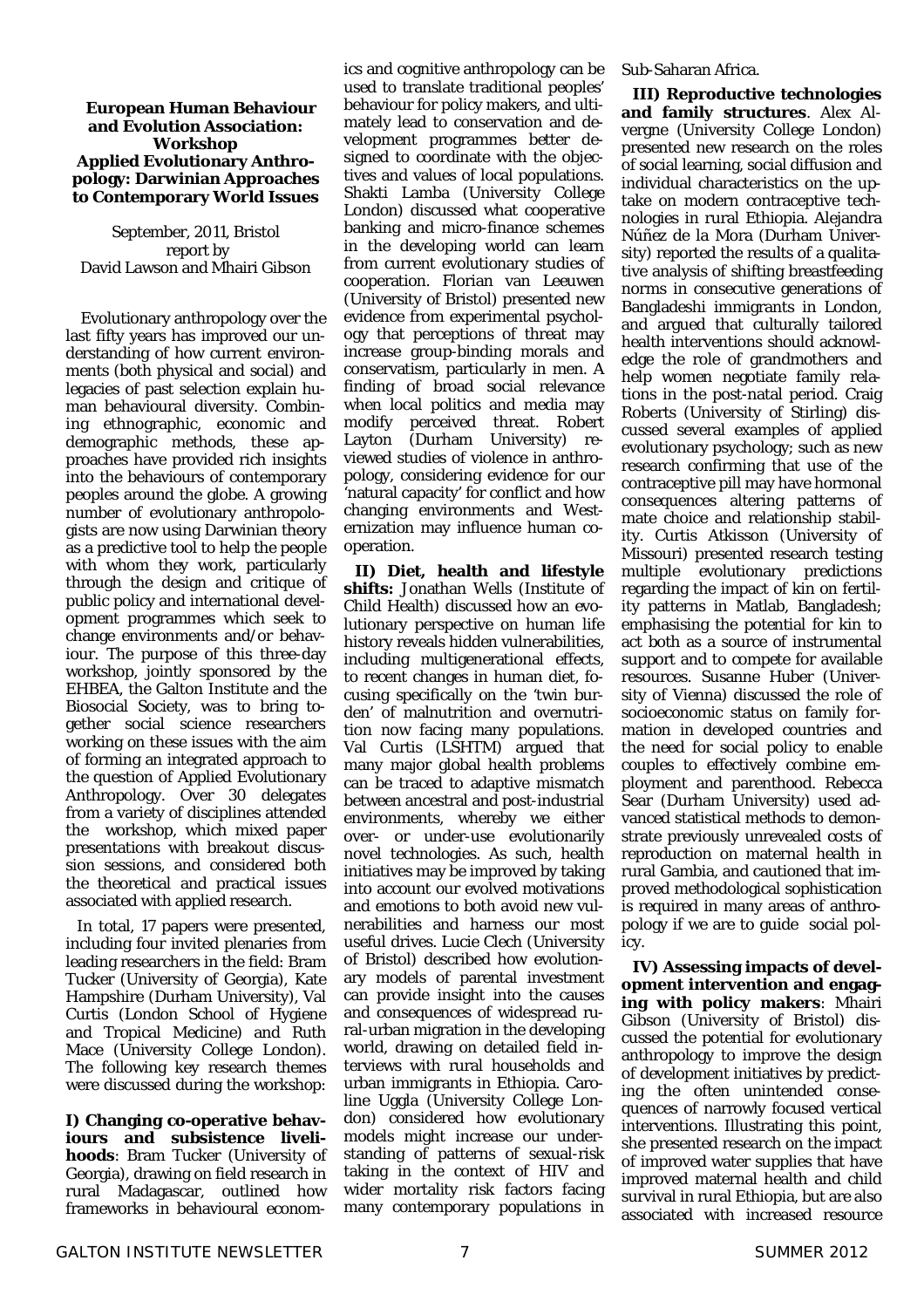#### **European Human Behaviour and Evolution Association: Workshop Applied Evolutionary Anthropology: Darwinian Approaches to Contemporary World Issues**

September, 2011, Bristol report by David Lawson and Mhairi Gibson

 Evolutionary anthropology over the last fifty years has improved our understanding of how current environments (both physical and social) and legacies of past selection explain human behavioural diversity. Combining ethnographic, economic and demographic methods, these approaches have provided rich insights into the behaviours of contemporary peoples around the globe. A growing number of evolutionary anthropologists are now using Darwinian theory as a predictive tool to help the people with whom they work, particularly through the design and critique of public policy and international development programmes which seek to change environments and/or behaviour. The purpose of this three-day workshop, jointly sponsored by the EHBEA, the Galton Institute and the Biosocial Society, was to bring together social science researchers working on these issues with the aim of forming an integrated approach to the question of Applied Evolutionary Anthropology. Over 30 delegates from a variety of disciplines attended the workshop, which mixed paper presentations with breakout discussion sessions, and considered both the theoretical and practical issues associated with applied research.

In total, 17 papers were presented, including four invited plenaries from leading researchers in the field: Bram Tucker (University of Georgia), Kate Hampshire (Durham University), Val Curtis (London School of Hygiene and Tropical Medicine) and Ruth Mace (University College London). The following key research themes were discussed during the workshop:

**I) Changing co-operative behaviours and subsistence livelihoods**: Bram Tucker (University of Georgia), drawing on field research in rural Madagascar, outlined how frameworks in behavioural economics and cognitive anthropology can be used to translate traditional peoples' behaviour for policy makers, and ultimately lead to conservation and development programmes better designed to coordinate with the objectives and values of local populations. Shakti Lamba (University College London) discussed what cooperative banking and micro-finance schemes in the developing world can learn from current evolutionary studies of cooperation. Florian van Leeuwen (University of Bristol) presented new evidence from experimental psychology that perceptions of threat may increase group-binding morals and conservatism, particularly in men. A finding of broad social relevance when local politics and media may modify perceived threat. Robert Layton (Durham University) reviewed studies of violence in anthropology, considering evidence for our 'natural capacity' for conflict and how changing environments and Westernization may influence human cooperation.

**II) Diet, health and lifestyle shifts:** Jonathan Wells (Institute of Child Health) discussed how an evolutionary perspective on human life history reveals hidden vulnerabilities, including multigenerational effects, to recent changes in human diet, focusing specifically on the 'twin burden' of malnutrition and overnutrition now facing many populations. Val Curtis (LSHTM) argued that many major global health problems can be traced to adaptive mismatch between ancestral and post-industrial environments, whereby we either over- or under-use evolutionarily novel technologies. As such, health initiatives may be improved by taking into account our evolved motivations and emotions to both avoid new vulnerabilities and harness our most useful drives. Lucie Clech (University of Bristol) described how evolutionary models of parental investment can provide insight into the causes and consequences of widespread rural-urban migration in the developing world, drawing on detailed field interviews with rural households and urban immigrants in Ethiopia. Caroline Uggla (University College London) considered how evolutionary models might increase our understanding of patterns of sexual-risk taking in the context of HIV and wider mortality risk factors facing many contemporary populations in

Sub-Saharan Africa.

**III) Reproductive technologies and family structures**. Alex Alvergne (University College London) presented new research on the roles of social learning, social diffusion and individual characteristics on the uptake on modern contraceptive technologies in rural Ethiopia. Alejandra Núñez de la Mora (Durham University) reported the results of a qualitative analysis of shifting breastfeeding norms in consecutive generations of Bangladeshi immigrants in London, and argued that culturally tailored health interventions should acknowledge the role of grandmothers and help women negotiate family relations in the post-natal period. Craig Roberts (University of Stirling) discussed several examples of applied evolutionary psychology; such as new research confirming that use of the contraceptive pill may have hormonal consequences altering patterns of mate choice and relationship stability. Curtis Atkisson (University of Missouri) presented research testing multiple evolutionary predictions regarding the impact of kin on fertility patterns in Matlab, Bangladesh; emphasising the potential for kin to act both as a source of instrumental support and to compete for available resources. Susanne Huber (University of Vienna) discussed the role of socioeconomic status on family formation in developed countries and the need for social policy to enable couples to effectively combine employment and parenthood. Rebecca Sear (Durham University) used advanced statistical methods to demonstrate previously unrevealed costs of reproduction on maternal health in rural Gambia, and cautioned that improved methodological sophistication is required in many areas of anthropology if we are to guide social policy.

**IV) Assessing impacts of development intervention and engaging with policy makers**: Mhairi Gibson (University of Bristol) discussed the potential for evolutionary anthropology to improve the design of development initiatives by predicting the often unintended consequences of narrowly focused vertical interventions. Illustrating this point, she presented research on the impact of improved water supplies that have improved maternal health and child survival in rural Ethiopia, but are also associated with increased resource